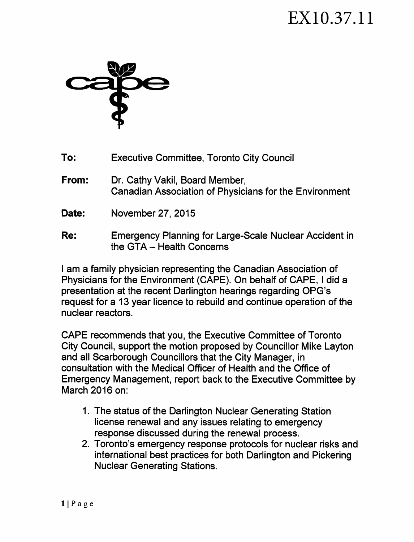## EX10.37.11



- **To:** Executive Committee, Toronto City Council
- **From:** Dr. Cathy Vakil, Board Member, Canadian Association of Physicians for the Environment
- **Date:** November 27, 2015
- **Re:** Emergency Planning for Large-Scale Nuclear Accident in the GTA  $-$  Health Concerns

I am a family physician representing the Canadian Association of Physicians for the Environment (CAPE). On behalf of CAPE, I did a presentation at the recent Darlington hearings regarding OPG's request for a 13 year licence to rebuild and continue operation of the nuclear reactors.

CAPE recommends that you, the Executive Committee of Toronto City Council, support the motion proposed by Councillor Mike Layton and all Scarborough Councillors that the City Manager, in consultation with the Medical Officer of Health and the Office of Emergency Management, report back to the Executive Committee by March 2016 on:

- 1. The status of the Darlington Nuclear Generating Station license renewal and any issues relating to emergency response discussed during the renewal process.
- 2. Toronto's emergency response protocols for nuclear risks and international best practices for both Darlington and Pickering Nuclear Generating Stations.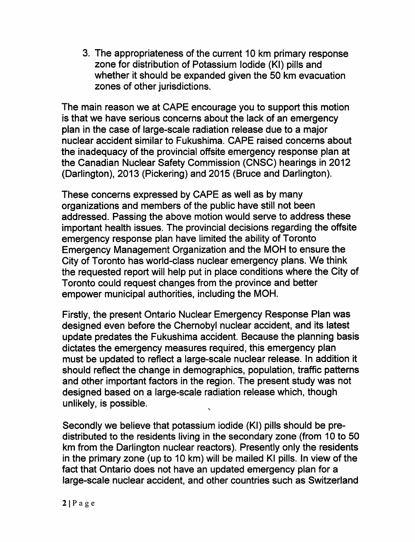3. The appropriateness of the current 10 km primary response zone for distribution of Potassium Iodide (Kl) pills and whether it should be expanded given the 50 km evacuation zones of other jurisdictions.

The main reason we at CAPE encourage you to support this motion is that we have serious concerns about the lack of an emergency plan in the case of large-scale radiation release due to a major nuclear accident similar to Fukushima. CAPE raised concerns about the inadequacy of the provincial offsite emergency response plan at the Canadian Nuclear Safety Commission (CNSC) hearings in 2012 (Darlington), 2013 (Pickering) and 2015 (Bruce and Darlington).

These concerns expressed by CAPE as well as by many organizations and members of the public have still not been addressed. Passing the above motion would serve to address these important health issues. The provincial decisions regarding the offsite emergency response plan have limited the ability of Toronto Emergency Management Organization and the MOH to ensure the City of Toronto has world-class nuclear emergency plans. We think the requested report will help put in place conditions where the City of Toronto could request changes from the province and better empower municipal authorities, including the MOH.

Firstly, the present Ontario Nuclear Emergency Response Plan was designed even before the Chernobyl nuclear accident, and its latest update predates the Fukushima accident. Because the planning basis dictates the emergency measures required, this emergency plan must be updated to reflect a large-scale nuclear release. In addition it should reflect the change in demographics, population, traffic patterns and other important factors in the region. The present study was not designed based on a large-scale radiation release which, though unlikely, is possible. '

Secondly we believe that potassium iodide (Kl) pills should be predistributed to the residents living in the secondary zone (from 10 to 50 km from the Darlington nuclear reactors). Presently only the residents in the primary zone (up to 10 km) will be mailed Kl pills. In view of the fact that Ontario does not have an updated emergency plan for a large-scale nuclear accident, and other countries such as Switzerland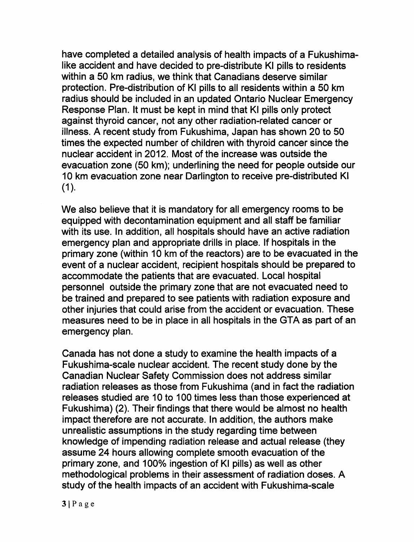have completed a detailed analysis of health impacts of a Fukushimalike accident and have decided to pre-distribute Kl pills to residents within a 50 km radius, we think that Canadians deserve similar protection. Pre-distribution of Kl pills to all residents within a 50 km radius should be included in an updated Ontario Nuclear Emergency Response Plan. It must be kept in mind that Kl pills only protect against thyroid cancer, not any other radiation-related cancer or illness. A recent study from Fukushima, Japan has shown 20 to 50 times the expected number of children with thyroid cancer since the nuclear accident in 2012. Most of the increase was outside the evacuation zone (50 km); underlining the need for people outside our 10 km evacuation zone near Darlington to receive pre-distributed Kl  $(1)$ .

We also believe that it is mandatory for all emergency rooms to be equipped with decontamination equipment and all staff be familiar with its use. In addition, all hospitals should have an active radiation emergency plan and appropriate drills in place. If hospitals in the primary zone (within 10 km of the reactors) are to be evacuated in the event of a nuclear accident, recipient hospitals should be prepared to accommodate the patients that are evacuated. Local hospital personnel outside the primary zone that are not evacuated need to be trained and prepared to see patients with radiation exposure and other injuries that could arise from the accident or evacuation. These measures need to be in place in all hospitals in the GTA as part of an emergency plan.

Canada has not done a study to examine the health impacts of a Fukushima-scale nuclear accident. The recent study done by the Canadian Nuclear Safety Commission does not address similar radiation releases as those from Fukushima (and in fact the radiation releases studied are 10 to 100 times less than those experienced at Fukushima) (2). Their findings that there would be almost no health impact therefore are not accurate. In addition, the authors make unrealistic assumptions in the study regarding time between knowledge of impending radiation release and actual release (they assume 24 hours allowing complete smooth evacuation of the primary zone, and 100% ingestion of KI pills) as well as other methodological problems in their assessment of radiation doses. A study of the health impacts of an accident with Fukushima-scale